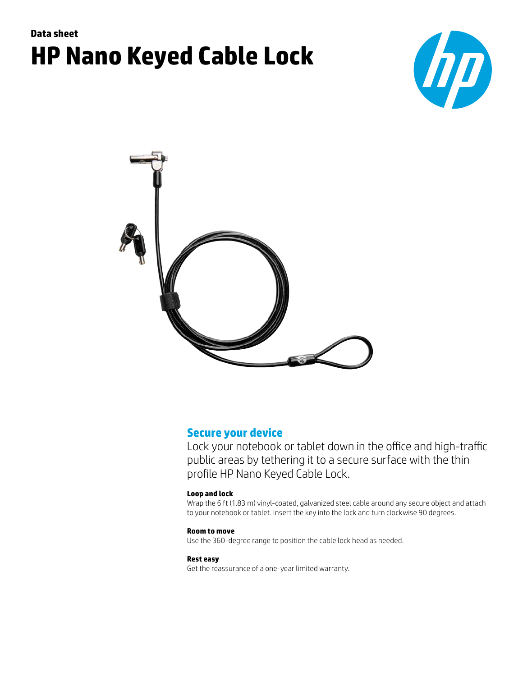# **Data sheet HP Nano Keyed Cable Lock**





## **Secure your device**

Lock your notebook or tablet down in the office and high-traffic public areas by tethering it to a secure surface with the thin profile HP Nano Keyed Cable Lock.

### **Loop and lock**

Wrap the 6 ft (1.83 m) vinyl-coated, galvanized steel cable around any secure object and attach to your notebook or tablet. Insert the key into the lock and turn clockwise 90 degrees.

#### **Room to move**

Use the 360-degree range to position the cable lock head as needed.

#### **Rest easy**

Get the reassurance of a one-year limited warranty.